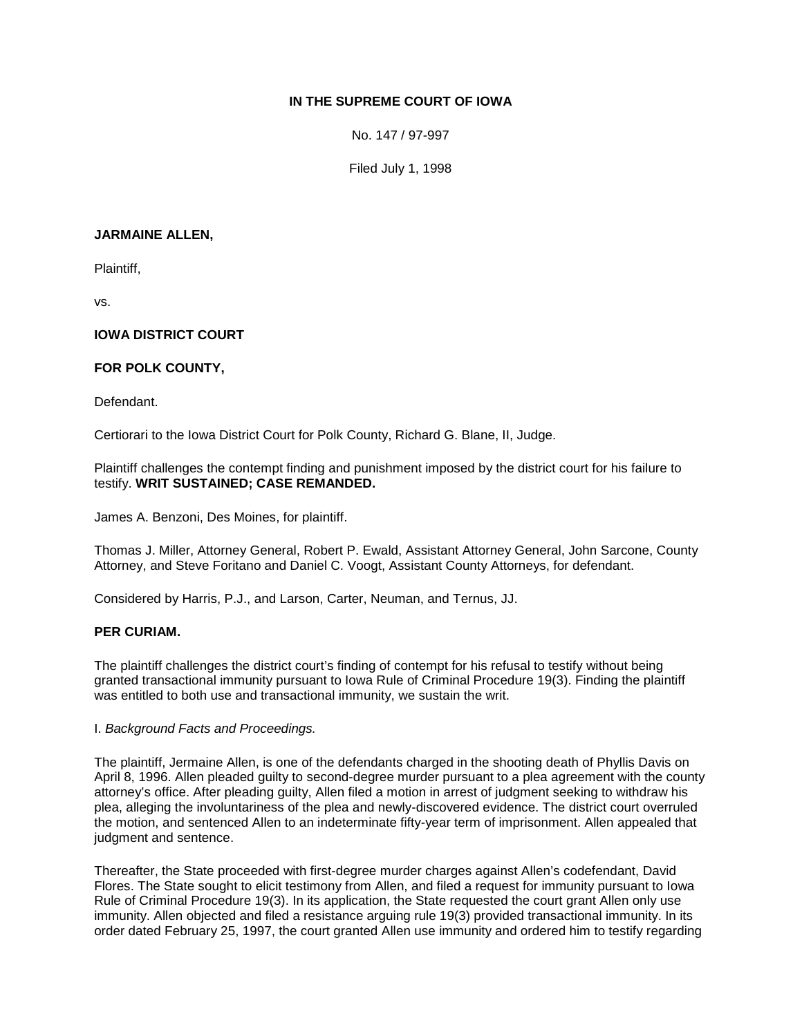# **IN THE SUPREME COURT OF IOWA**

No. 147 / 97-997

Filed July 1, 1998

### **JARMAINE ALLEN,**

Plaintiff,

vs.

# **IOWA DISTRICT COURT**

# **FOR POLK COUNTY,**

### Defendant.

Certiorari to the Iowa District Court for Polk County, Richard G. Blane, II, Judge.

Plaintiff challenges the contempt finding and punishment imposed by the district court for his failure to testify. **WRIT SUSTAINED; CASE REMANDED.**

James A. Benzoni, Des Moines, for plaintiff.

Thomas J. Miller, Attorney General, Robert P. Ewald, Assistant Attorney General, John Sarcone, County Attorney, and Steve Foritano and Daniel C. Voogt, Assistant County Attorneys, for defendant.

Considered by Harris, P.J., and Larson, Carter, Neuman, and Ternus, JJ.

### **PER CURIAM.**

The plaintiff challenges the district court's finding of contempt for his refusal to testify without being granted transactional immunity pursuant to Iowa Rule of Criminal Procedure 19(3). Finding the plaintiff was entitled to both use and transactional immunity, we sustain the writ.

### I. *Background Facts and Proceedings.*

The plaintiff, Jermaine Allen, is one of the defendants charged in the shooting death of Phyllis Davis on April 8, 1996. Allen pleaded guilty to second-degree murder pursuant to a plea agreement with the county attorney's office. After pleading guilty, Allen filed a motion in arrest of judgment seeking to withdraw his plea, alleging the involuntariness of the plea and newly-discovered evidence. The district court overruled the motion, and sentenced Allen to an indeterminate fifty-year term of imprisonment. Allen appealed that judgment and sentence.

Thereafter, the State proceeded with first-degree murder charges against Allen's codefendant, David Flores. The State sought to elicit testimony from Allen, and filed a request for immunity pursuant to Iowa Rule of Criminal Procedure 19(3). In its application, the State requested the court grant Allen only use immunity. Allen objected and filed a resistance arguing rule 19(3) provided transactional immunity. In its order dated February 25, 1997, the court granted Allen use immunity and ordered him to testify regarding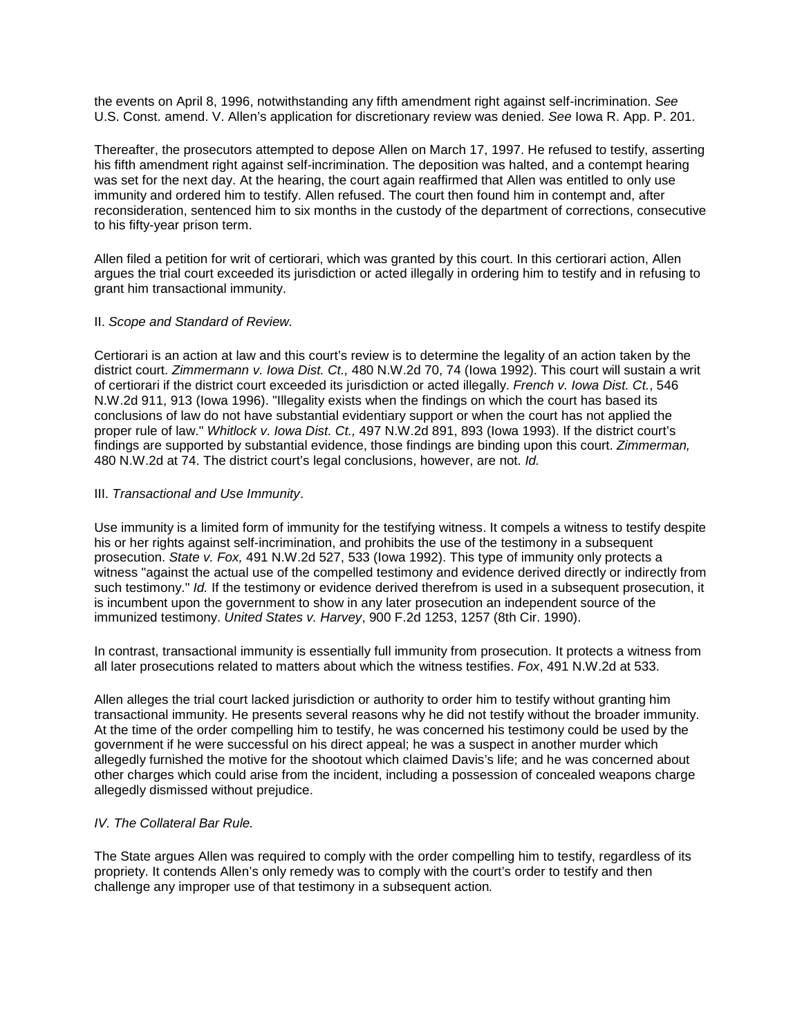the events on April 8, 1996, notwithstanding any fifth amendment right against self-incrimination. *See* U.S. Const. amend. V. Allen's application for discretionary review was denied. *See* Iowa R. App. P. 201.

Thereafter, the prosecutors attempted to depose Allen on March 17, 1997. He refused to testify, asserting his fifth amendment right against self-incrimination. The deposition was halted, and a contempt hearing was set for the next day. At the hearing, the court again reaffirmed that Allen was entitled to only use immunity and ordered him to testify. Allen refused. The court then found him in contempt and, after reconsideration, sentenced him to six months in the custody of the department of corrections, consecutive to his fifty-year prison term.

Allen filed a petition for writ of certiorari, which was granted by this court. In this certiorari action, Allen argues the trial court exceeded its jurisdiction or acted illegally in ordering him to testify and in refusing to grant him transactional immunity.

### II. *Scope and Standard of Review.*

Certiorari is an action at law and this court's review is to determine the legality of an action taken by the district court. *Zimmermann v. Iowa Dist. Ct.,* 480 N.W.2d 70, 74 (Iowa 1992). This court will sustain a writ of certiorari if the district court exceeded its jurisdiction or acted illegally. *French v. Iowa Dist. Ct.*, 546 N.W.2d 911, 913 (Iowa 1996). "Illegality exists when the findings on which the court has based its conclusions of law do not have substantial evidentiary support or when the court has not applied the proper rule of law." *Whitlock v. Iowa Dist. Ct.,* 497 N.W.2d 891, 893 (Iowa 1993). If the district court's findings are supported by substantial evidence, those findings are binding upon this court. *Zimmerman,* 480 N.W.2d at 74. The district court's legal conclusions, however, are not. *Id.*

# III. *Transactional and Use Immunity*.

Use immunity is a limited form of immunity for the testifying witness. It compels a witness to testify despite his or her rights against self-incrimination, and prohibits the use of the testimony in a subsequent prosecution. *State v. Fox,* 491 N.W.2d 527, 533 (Iowa 1992). This type of immunity only protects a witness "against the actual use of the compelled testimony and evidence derived directly or indirectly from such testimony." *Id.* If the testimony or evidence derived therefrom is used in a subsequent prosecution, it is incumbent upon the government to show in any later prosecution an independent source of the immunized testimony. *United States v. Harvey*, 900 F.2d 1253, 1257 (8th Cir. 1990).

In contrast, transactional immunity is essentially full immunity from prosecution. It protects a witness from all later prosecutions related to matters about which the witness testifies. *Fox*, 491 N.W.2d at 533.

Allen alleges the trial court lacked jurisdiction or authority to order him to testify without granting him transactional immunity. He presents several reasons why he did not testify without the broader immunity. At the time of the order compelling him to testify, he was concerned his testimony could be used by the government if he were successful on his direct appeal; he was a suspect in another murder which allegedly furnished the motive for the shootout which claimed Davis's life; and he was concerned about other charges which could arise from the incident, including a possession of concealed weapons charge allegedly dismissed without prejudice.

# *IV. The Collateral Bar Rule.*

The State argues Allen was required to comply with the order compelling him to testify, regardless of its propriety. It contends Allen's only remedy was to comply with the court's order to testify and then challenge any improper use of that testimony in a subsequent action*.*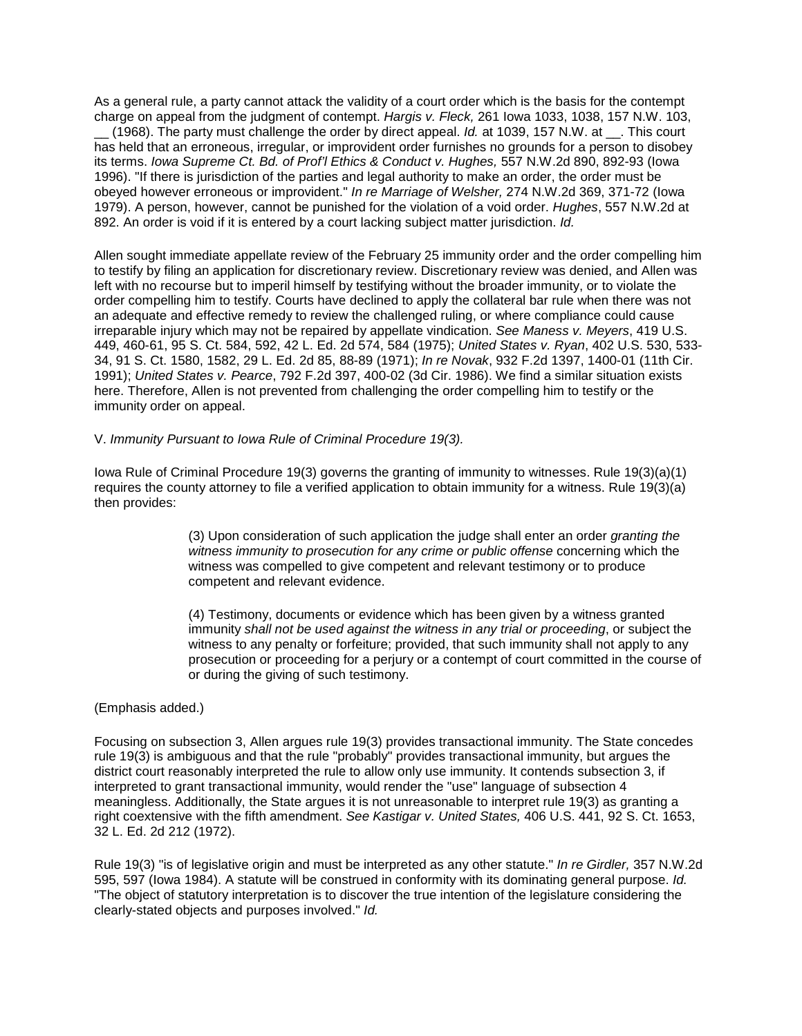As a general rule, a party cannot attack the validity of a court order which is the basis for the contempt charge on appeal from the judgment of contempt. *Hargis v. Fleck,* 261 Iowa 1033, 1038, 157 N.W. 103,

\_\_ (1968). The party must challenge the order by direct appeal. *Id.* at 1039, 157 N.W. at \_\_. This court has held that an erroneous, irregular, or improvident order furnishes no grounds for a person to disobey its terms. *Iowa Supreme Ct. Bd. of Prof'l Ethics & Conduct v. Hughes,* 557 N.W.2d 890, 892-93 (Iowa 1996). "If there is jurisdiction of the parties and legal authority to make an order, the order must be obeyed however erroneous or improvident." *In re Marriage of Welsher,* 274 N.W.2d 369, 371-72 (Iowa 1979). A person, however, cannot be punished for the violation of a void order. *Hughes*, 557 N.W.2d at 892. An order is void if it is entered by a court lacking subject matter jurisdiction. *Id.* 

Allen sought immediate appellate review of the February 25 immunity order and the order compelling him to testify by filing an application for discretionary review. Discretionary review was denied, and Allen was left with no recourse but to imperil himself by testifying without the broader immunity, or to violate the order compelling him to testify. Courts have declined to apply the collateral bar rule when there was not an adequate and effective remedy to review the challenged ruling, or where compliance could cause irreparable injury which may not be repaired by appellate vindication. *See Maness v. Meyers*, 419 U.S. 449, 460-61, 95 S. Ct. 584, 592, 42 L. Ed. 2d 574, 584 (1975); *United States v. Ryan*, 402 U.S. 530, 533- 34, 91 S. Ct. 1580, 1582, 29 L. Ed. 2d 85, 88-89 (1971); *In re Novak*, 932 F.2d 1397, 1400-01 (11th Cir. 1991); *United States v. Pearce*, 792 F.2d 397, 400-02 (3d Cir. 1986). We find a similar situation exists here. Therefore, Allen is not prevented from challenging the order compelling him to testify or the immunity order on appeal.

#### V. *Immunity Pursuant to Iowa Rule of Criminal Procedure 19(3).*

Iowa Rule of Criminal Procedure 19(3) governs the granting of immunity to witnesses. Rule 19(3)(a)(1) requires the county attorney to file a verified application to obtain immunity for a witness. Rule 19(3)(a) then provides:

> (3) Upon consideration of such application the judge shall enter an order *granting the witness immunity to prosecution for any crime or public offense* concerning which the witness was compelled to give competent and relevant testimony or to produce competent and relevant evidence.

(4) Testimony, documents or evidence which has been given by a witness granted immunity *shall not be used against the witness in any trial or proceeding*, or subject the witness to any penalty or forfeiture; provided, that such immunity shall not apply to any prosecution or proceeding for a perjury or a contempt of court committed in the course of or during the giving of such testimony.

### (Emphasis added.)

Focusing on subsection 3, Allen argues rule 19(3) provides transactional immunity. The State concedes rule 19(3) is ambiguous and that the rule "probably" provides transactional immunity, but argues the district court reasonably interpreted the rule to allow only use immunity. It contends subsection 3, if interpreted to grant transactional immunity, would render the "use" language of subsection 4 meaningless. Additionally, the State argues it is not unreasonable to interpret rule 19(3) as granting a right coextensive with the fifth amendment. *See Kastigar v. United States,* 406 U.S. 441, 92 S. Ct. 1653, 32 L. Ed. 2d 212 (1972).

Rule 19(3) "is of legislative origin and must be interpreted as any other statute." *In re Girdler,* 357 N.W.2d 595, 597 (Iowa 1984). A statute will be construed in conformity with its dominating general purpose. *Id.* "The object of statutory interpretation is to discover the true intention of the legislature considering the clearly-stated objects and purposes involved." *Id.*